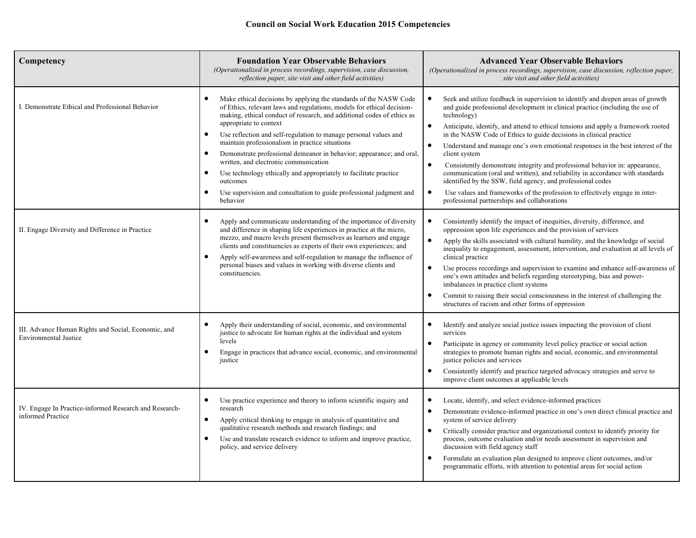| Competency                                                                                          | <b>Foundation Year Observable Behaviors</b><br>(Operationalized in process recordings, supervision, case discussion,<br>reflection paper, site visit and other field activities)                                                                                                                                                                                                                                                                                                                                                                                                                                                                                                                                                                                                                                                                                                                                                                                                                                                                                                                                                                         | <b>Advanced Year Observable Behaviors</b><br>(Operationalized in process recordings, supervision, case discussion, reflection paper,<br>site visit and other field activities)                                                                                                                                                                                                                                                                                                                                                                                                                                                                                                                                                                                                                                                                                                                                                                                                                                                                                                                                                                                                                                                                                                                                                                                                                                                                                  |
|-----------------------------------------------------------------------------------------------------|----------------------------------------------------------------------------------------------------------------------------------------------------------------------------------------------------------------------------------------------------------------------------------------------------------------------------------------------------------------------------------------------------------------------------------------------------------------------------------------------------------------------------------------------------------------------------------------------------------------------------------------------------------------------------------------------------------------------------------------------------------------------------------------------------------------------------------------------------------------------------------------------------------------------------------------------------------------------------------------------------------------------------------------------------------------------------------------------------------------------------------------------------------|-----------------------------------------------------------------------------------------------------------------------------------------------------------------------------------------------------------------------------------------------------------------------------------------------------------------------------------------------------------------------------------------------------------------------------------------------------------------------------------------------------------------------------------------------------------------------------------------------------------------------------------------------------------------------------------------------------------------------------------------------------------------------------------------------------------------------------------------------------------------------------------------------------------------------------------------------------------------------------------------------------------------------------------------------------------------------------------------------------------------------------------------------------------------------------------------------------------------------------------------------------------------------------------------------------------------------------------------------------------------------------------------------------------------------------------------------------------------|
| I. Demonstrate Ethical and Professional Behavior<br>II. Engage Diversity and Difference in Practice | Make ethical decisions by applying the standards of the NASW Code<br>of Ethics, relevant laws and regulations, models for ethical decision-<br>making, ethical conduct of research, and additional codes of ethics as<br>appropriate to context<br>Use reflection and self-regulation to manage personal values and<br>$\bullet$<br>maintain professionalism in practice situations<br>Demonstrate professional demeanor in behavior; appearance; and oral.<br>written, and electronic communication<br>Use technology ethically and appropriately to facilitate practice<br>outcomes<br>Use supervision and consultation to guide professional judgment and<br>$\bullet$<br>behavior<br>Apply and communicate understanding of the importance of diversity<br>and difference in shaping life experiences in practice at the micro,<br>mezzo, and macro levels present themselves as learners and engage<br>clients and constituencies as experts of their own experiences; and<br>Apply self-awareness and self-regulation to manage the influence of<br>$\bullet$<br>personal biases and values in working with diverse clients and<br>constituencies. | Seek and utilize feedback in supervision to identify and deepen areas of growth<br>and guide professional development in clinical practice (including the use of<br>technology)<br>Anticipate, identify, and attend to ethical tensions and apply a framework rooted<br>$\bullet$<br>in the NASW Code of Ethics to guide decisions in clinical practice<br>Understand and manage one's own emotional responses in the best interest of the<br>$\bullet$<br>client system<br>$\bullet$<br>Consistently demonstrate integrity and professional behavior in: appearance,<br>communication (oral and written), and reliability in accordance with standards<br>identified by the SSW, field agency, and professional codes<br>Use values and frameworks of the profession to effectively engage in inter-<br>$\bullet$<br>professional partnerships and collaborations<br>Consistently identify the impact of inequities, diversity, difference, and<br>$\bullet$<br>oppression upon life experiences and the provision of services<br>$\bullet$<br>Apply the skills associated with cultural humility, and the knowledge of social<br>inequality to engagement, assessment, intervention, and evaluation at all levels of<br>clinical practice<br>Use process recordings and supervision to examine and enhance self-awareness of<br>$\bullet$<br>one's own attitudes and beliefs regarding stereotyping, bias and power-<br>imbalances in practice client systems |
| III. Advance Human Rights and Social, Economic, and<br><b>Environmental Justice</b>                 | Apply their understanding of social, economic, and environmental<br>$\bullet$<br>justice to advocate for human rights at the individual and system<br>levels                                                                                                                                                                                                                                                                                                                                                                                                                                                                                                                                                                                                                                                                                                                                                                                                                                                                                                                                                                                             | Commit to raising their social consciousness in the interest of challenging the<br>٠<br>structures of racism and other forms of oppression<br>$\bullet$<br>Identify and analyze social justice issues impacting the provision of client<br>services<br>Participate in agency or community level policy practice or social action<br>$\bullet$                                                                                                                                                                                                                                                                                                                                                                                                                                                                                                                                                                                                                                                                                                                                                                                                                                                                                                                                                                                                                                                                                                                   |
|                                                                                                     | Engage in practices that advance social, economic, and environmental<br>$\bullet$<br>justice                                                                                                                                                                                                                                                                                                                                                                                                                                                                                                                                                                                                                                                                                                                                                                                                                                                                                                                                                                                                                                                             | strategies to promote human rights and social, economic, and environmental<br>justice policies and services<br>Consistently identify and practice targeted advocacy strategies and serve to<br>$\bullet$<br>improve client outcomes at applicable levels                                                                                                                                                                                                                                                                                                                                                                                                                                                                                                                                                                                                                                                                                                                                                                                                                                                                                                                                                                                                                                                                                                                                                                                                        |
| IV. Engage In Practice-informed Research and Research-<br>informed Practice                         | Use practice experience and theory to inform scientific inquiry and<br>$\bullet$<br>research<br>Apply critical thinking to engage in analysis of quantitative and<br>$\bullet$<br>qualitative research methods and research findings; and<br>Use and translate research evidence to inform and improve practice.<br>$\bullet$<br>policy, and service delivery                                                                                                                                                                                                                                                                                                                                                                                                                                                                                                                                                                                                                                                                                                                                                                                            | $\bullet$<br>Locate, identify, and select evidence-informed practices<br>Demonstrate evidence-informed practice in one's own direct clinical practice and<br>$\bullet$<br>system of service delivery<br>Critically consider practice and organizational context to identify priority for<br>$\bullet$<br>process, outcome evaluation and/or needs assessment in supervision and<br>discussion with field agency staff<br>Formulate an evaluation plan designed to improve client outcomes, and/or<br>$\bullet$<br>programmatic efforts, with attention to potential areas for social action                                                                                                                                                                                                                                                                                                                                                                                                                                                                                                                                                                                                                                                                                                                                                                                                                                                                     |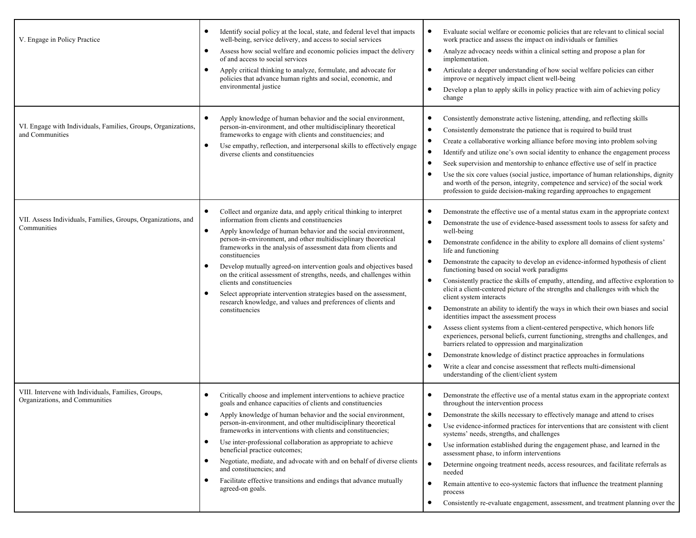| V. Engage in Policy Practice                                                          | Identify social policy at the local, state, and federal level that impacts<br>well-being, service delivery, and access to social services<br>Assess how social welfare and economic policies impact the delivery<br>$\bullet$<br>of and access to social services<br>Apply critical thinking to analyze, formulate, and advocate for<br>policies that advance human rights and social, economic, and<br>environmental justice                                                                                                                                                                                                                                                    | Evaluate social welfare or economic policies that are relevant to clinical social<br>$\bullet$<br>work practice and assess the impact on individuals or families<br>Analyze advocacy needs within a clinical setting and propose a plan for<br>$\bullet$<br>implementation.<br>Articulate a deeper understanding of how social welfare policies can either<br>$\bullet$<br>improve or negatively impact client well-being<br>Develop a plan to apply skills in policy practice with aim of achieving policy<br>change                                                                                                                                                                                                                                                                                                                                                                                                                                                                                                                                                                                                                                                                                                                                                                |
|---------------------------------------------------------------------------------------|----------------------------------------------------------------------------------------------------------------------------------------------------------------------------------------------------------------------------------------------------------------------------------------------------------------------------------------------------------------------------------------------------------------------------------------------------------------------------------------------------------------------------------------------------------------------------------------------------------------------------------------------------------------------------------|--------------------------------------------------------------------------------------------------------------------------------------------------------------------------------------------------------------------------------------------------------------------------------------------------------------------------------------------------------------------------------------------------------------------------------------------------------------------------------------------------------------------------------------------------------------------------------------------------------------------------------------------------------------------------------------------------------------------------------------------------------------------------------------------------------------------------------------------------------------------------------------------------------------------------------------------------------------------------------------------------------------------------------------------------------------------------------------------------------------------------------------------------------------------------------------------------------------------------------------------------------------------------------------|
| VI. Engage with Individuals, Families, Groups, Organizations,<br>and Communities      | Apply knowledge of human behavior and the social environment,<br>person-in-environment, and other multidisciplinary theoretical<br>frameworks to engage with clients and constituencies; and<br>Use empathy, reflection, and interpersonal skills to effectively engage<br>diverse clients and constituencies                                                                                                                                                                                                                                                                                                                                                                    | Consistently demonstrate active listening, attending, and reflecting skills<br>$\bullet$<br>Consistently demonstrate the patience that is required to build trust<br>$\bullet$<br>Create a collaborative working alliance before moving into problem solving<br>$\bullet$<br>Identify and utilize one's own social identity to enhance the engagement process<br>$\bullet$<br>Seek supervision and mentorship to enhance effective use of self in practice<br>$\bullet$<br>Use the six core values (social justice, importance of human relationships, dignity<br>and worth of the person, integrity, competence and service) of the social work<br>profession to guide decision-making regarding approaches to engagement                                                                                                                                                                                                                                                                                                                                                                                                                                                                                                                                                           |
| VII. Assess Individuals, Families, Groups, Organizations, and<br>Communities          | Collect and organize data, and apply critical thinking to interpret<br>information from clients and constituencies<br>Apply knowledge of human behavior and the social environment,<br>person-in-environment, and other multidisciplinary theoretical<br>frameworks in the analysis of assessment data from clients and<br>constituencies<br>Develop mutually agreed-on intervention goals and objectives based<br>on the critical assessment of strengths, needs, and challenges within<br>clients and constituencies<br>Select appropriate intervention strategies based on the assessment,<br>research knowledge, and values and preferences of clients and<br>constituencies | Demonstrate the effective use of a mental status exam in the appropriate context<br>$\bullet$<br>Demonstrate the use of evidence-based assessment tools to assess for safety and<br>$\bullet$<br>well-being<br>Demonstrate confidence in the ability to explore all domains of client systems'<br>$\bullet$<br>life and functioning<br>Demonstrate the capacity to develop an evidence-informed hypothesis of client<br>$\bullet$<br>functioning based on social work paradigms<br>Consistently practice the skills of empathy, attending, and affective exploration to<br>$\bullet$<br>elicit a client-centered picture of the strengths and challenges with which the<br>client system interacts<br>Demonstrate an ability to identify the ways in which their own biases and social<br>$\bullet$<br>identities impact the assessment process<br>Assess client systems from a client-centered perspective, which honors life<br>experiences, personal beliefs, current functioning, strengths and challenges, and<br>barriers related to oppression and marginalization<br>Demonstrate knowledge of distinct practice approaches in formulations<br>$\bullet$<br>Write a clear and concise assessment that reflects multi-dimensional<br>understanding of the client/client system |
| VIII. Intervene with Individuals, Families, Groups,<br>Organizations, and Communities | Critically choose and implement interventions to achieve practice<br>goals and enhance capacities of clients and constituencies<br>Apply knowledge of human behavior and the social environment,<br>$\bullet$<br>person-in-environment, and other multidisciplinary theoretical<br>frameworks in interventions with clients and constituencies;<br>Use inter-professional collaboration as appropriate to achieve<br>beneficial practice outcomes;<br>Negotiate, mediate, and advocate with and on behalf of diverse clients<br>$\bullet$<br>and constituencies; and<br>Facilitate effective transitions and endings that advance mutually<br>agreed-on goals.                   | Demonstrate the effective use of a mental status exam in the appropriate context<br>$\bullet$<br>throughout the intervention process<br>• Demonstrate the skills necessary to effectively manage and attend to crises<br>Use evidence-informed practices for interventions that are consistent with client<br>$\bullet$<br>systems' needs, strengths, and challenges<br>Use information established during the engagement phase, and learned in the<br>$\bullet$<br>assessment phase, to inform interventions<br>Determine ongoing treatment needs, access resources, and facilitate referrals as<br>needed<br>Remain attentive to eco-systemic factors that influence the treatment planning<br>$\bullet$<br>process<br>Consistently re-evaluate engagement, assessment, and treatment planning over the<br>$\bullet$                                                                                                                                                                                                                                                                                                                                                                                                                                                               |